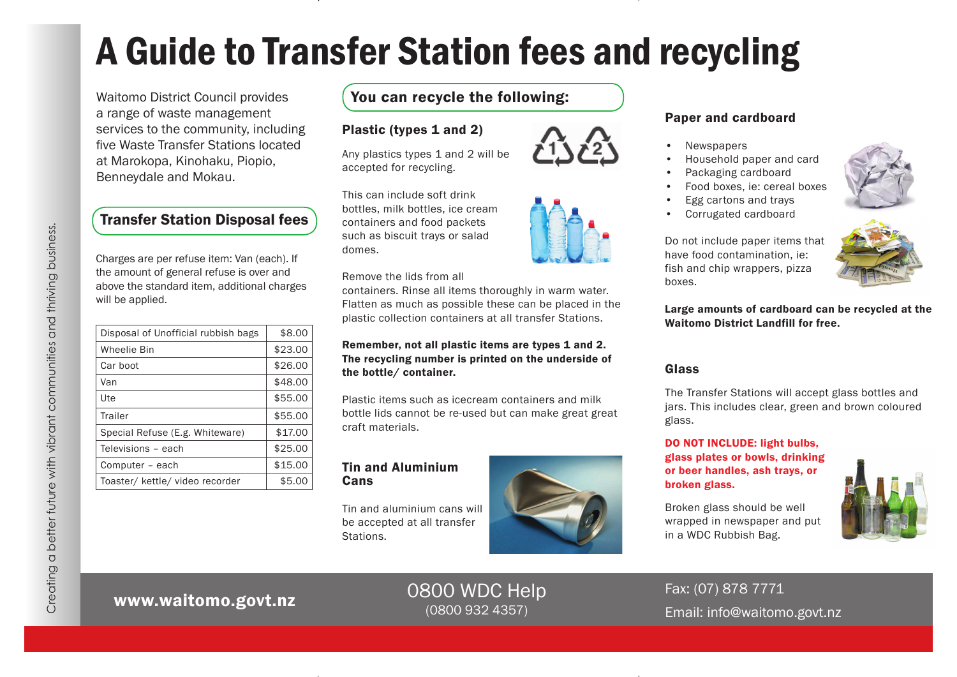# A Guide to Transfer Station fees and recycling

Waitomo District Council provides a range of waste management services to the community, including five Waste Transfer Stations located at Marokopa, Kinohaku, Piopio, Benneydale and Mokau.

### Transfer Station Disposal fees

Charges are per refuse item: Van (each). If the amount of general refuse is over and above the standard item, additional charges will be applied.

| Disposal of Unofficial rubbish bags | \$8.00  |
|-------------------------------------|---------|
| <b>Wheelie Bin</b>                  | \$23.00 |
| Car boot                            | \$26.00 |
| Van                                 | \$48.00 |
| Ute                                 | \$55.00 |
| Trailer                             | \$55.00 |
| Special Refuse (E.g. Whiteware)     | \$17.00 |
| Televisions - each                  | \$25.00 |
| Computer - each                     | \$15.00 |
| Toaster/ kettle/ video recorder     | \$5.00  |

### You can recycle the following:

#### Plastic (types 1 and 2)

Any plastics types 1 and 2 will be accepted for recycling.

This can include soft drink bottles, milk bottles, ice cream containers and food packets such as biscuit trays or salad

#### Remove the lids from all

containers. Rinse all items thoroughly in warm water. Flatten as much as possible these can be placed in the plastic collection containers at all transfer Stations.

#### Remember, not all plastic items are types 1 and 2. The recycling number is printed on the underside of the bottle/ container.

Plastic items such as icecream containers and milk bottle lids cannot be re-used but can make great great craft materials.

#### Tin and Aluminium **Cans**

Tin and aluminium cans will be accepted at all transfer Stations.



#### Paper and cardboard

- **Newspapers**
- Household paper and card
- Packaging cardboard
- Food boxes, ie: cereal boxes
- Egg cartons and trays
- Corrugated cardboard



Do not include paper items that have food contamination, ie: fish and chip wrappers, pizza boxes.

Large amounts of cardboard can be recycled at the Waitomo District Landfill for free.

#### Glass

The Transfer Stations will accept glass bottles and jars. This includes clear, green and brown coloured glass.

DO NOT INCLUDE: light bulbs, glass plates or bowls, drinking or beer handles, ash trays, or broken glass.

Broken glass should be well wrapped in newspaper and put

in a WDC Rubbish Bag.



# www.waitomo.govt.nz

## 0800 WDC Help (0800 932 4357)

Fax: (07) 878 7771 Email: info@waitomo.govt.nz

domes.

Creating a better future with vibrant communities and thriving business.